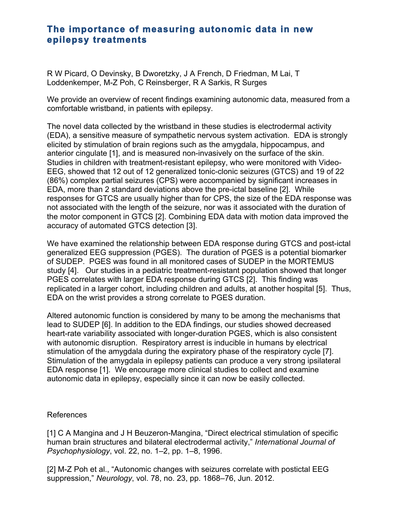## **The importance of measuring autonomic data in new epilepsy treatments**

R W Picard, O Devinsky, B Dworetzky, J A French, D Friedman, M Lai, T Loddenkemper, M-Z Poh, C Reinsberger, R A Sarkis, R Surges

We provide an overview of recent findings examining autonomic data, measured from a comfortable wristband, in patients with epilepsy.

The novel data collected by the wristband in these studies is electrodermal activity (EDA), a sensitive measure of sympathetic nervous system activation. EDA is strongly elicited by stimulation of brain regions such as the amygdala, hippocampus, and anterior cingulate [1], and is measured non-invasively on the surface of the skin. Studies in children with treatment-resistant epilepsy, who were monitored with Video-EEG, showed that 12 out of 12 generalized tonic-clonic seizures (GTCS) and 19 of 22 (86%) complex partial seizures (CPS) were accompanied by significant increases in EDA, more than 2 standard deviations above the pre-ictal baseline [2]. While responses for GTCS are usually higher than for CPS, the size of the EDA response was not associated with the length of the seizure, nor was it associated with the duration of the motor component in GTCS [2]. Combining EDA data with motion data improved the accuracy of automated GTCS detection [3].

We have examined the relationship between EDA response during GTCS and post-ictal generalized EEG suppression (PGES). The duration of PGES is a potential biomarker of SUDEP. PGES was found in all monitored cases of SUDEP in the MORTEMUS study [4]. Our studies in a pediatric treatment-resistant population showed that longer PGES correlates with larger EDA response during GTCS [2]. This finding was replicated in a larger cohort, including children and adults, at another hospital [5]. Thus, EDA on the wrist provides a strong correlate to PGES duration.

Altered autonomic function is considered by many to be among the mechanisms that lead to SUDEP [6]. In addition to the EDA findings, our studies showed decreased heart-rate variability associated with longer-duration PGES, which is also consistent with autonomic disruption. Respiratory arrest is inducible in humans by electrical stimulation of the amygdala during the expiratory phase of the respiratory cycle [7]. Stimulation of the amygdala in epilepsy patients can produce a very strong ipsilateral EDA response [1]. We encourage more clinical studies to collect and examine autonomic data in epilepsy, especially since it can now be easily collected.

## References

[1] C A Mangina and J H Beuzeron-Mangina, "Direct electrical stimulation of specific human brain structures and bilateral electrodermal activity," *International Journal of Psychophysiology*, vol. 22, no. 1–2, pp. 1–8, 1996.

[2] M-Z Poh et al., "Autonomic changes with seizures correlate with postictal EEG suppression," *Neurology*, vol. 78, no. 23, pp. 1868–76, Jun. 2012.